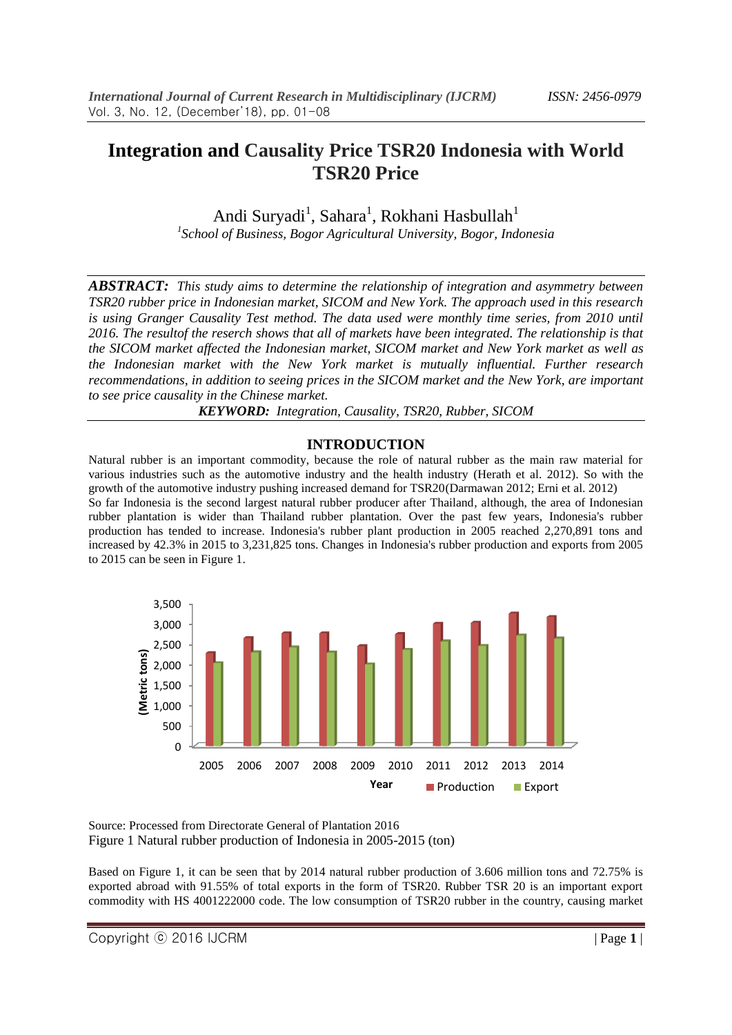## **Integration and Causality Price TSR20 Indonesia with World TSR20 Price**

Andi Suryadi<sup>1</sup>, Sahara<sup>1</sup>, Rokhani Hasbullah<sup>1</sup> *1 School of Business, Bogor Agricultural University, Bogor, Indonesia*

*ABSTRACT: This study aims to determine the relationship of integration and asymmetry between TSR20 rubber price in Indonesian market, SICOM and New York. The approach used in this research is using Granger Causality Test method. The data used were monthly time series, from 2010 until 2016. The resultof the reserch shows that all of markets have been integrated. The relationship is that the SICOM market affected the Indonesian market, SICOM market and New York market as well as the Indonesian market with the New York market is mutually influential. Further research recommendations, in addition to seeing prices in the SICOM market and the New York, are important to see price causality in the Chinese market.*

*KEYWORD: Integration, Causality, TSR20, Rubber, SICOM*

#### **INTRODUCTION**

Natural rubber is an important commodity, because the role of natural rubber as the main raw material for various industries such as the automotive industry and the health industry (Herath et al. 2012). So with the growth of the automotive industry pushing increased demand for TSR20(Darmawan 2012; Erni et al. 2012) So far Indonesia is the second largest natural rubber producer after Thailand, although, the area of Indonesian rubber plantation is wider than Thailand rubber plantation. Over the past few years, Indonesia's rubber production has tended to increase. Indonesia's rubber plant production in 2005 reached 2,270,891 tons and increased by 42.3% in 2015 to 3,231,825 tons. Changes in Indonesia's rubber production and exports from 2005 to 2015 can be seen in Figure 1.



Source: Processed from Directorate General of Plantation 2016 Figure 1 Natural rubber production of Indonesia in 2005-2015 (ton)

Based on Figure 1, it can be seen that by 2014 natural rubber production of 3.606 million tons and 72.75% is exported abroad with 91.55% of total exports in the form of TSR20. Rubber TSR 20 is an important export commodity with HS 4001222000 code. The low consumption of TSR20 rubber in the country, causing market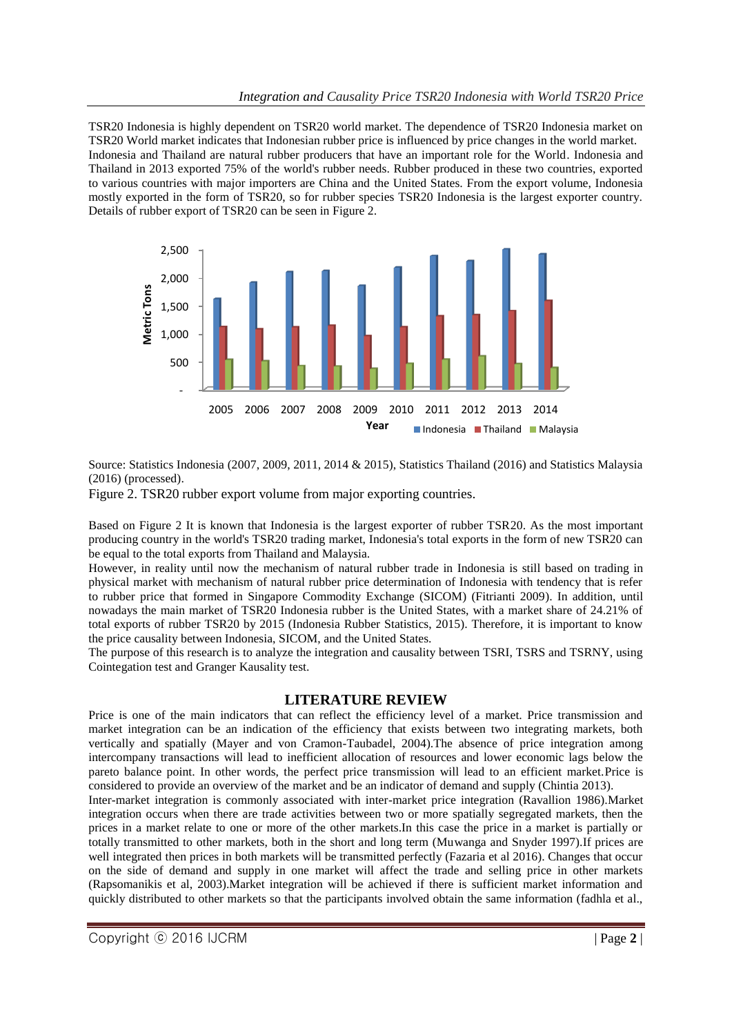TSR20 Indonesia is highly dependent on TSR20 world market. The dependence of TSR20 Indonesia market on TSR20 World market indicates that Indonesian rubber price is influenced by price changes in the world market. Indonesia and Thailand are natural rubber producers that have an important role for the World. Indonesia and Thailand in 2013 exported 75% of the world's rubber needs. Rubber produced in these two countries, exported to various countries with major importers are China and the United States. From the export volume, Indonesia mostly exported in the form of TSR20, so for rubber species TSR20 Indonesia is the largest exporter country. Details of rubber export of TSR20 can be seen in Figure 2.



Source: Statistics Indonesia (2007, 2009, 2011, 2014 & 2015), Statistics Thailand (2016) and Statistics Malaysia (2016) (processed).

Figure 2. TSR20 rubber export volume from major exporting countries.

Based on Figure 2 It is known that Indonesia is the largest exporter of rubber TSR20. As the most important producing country in the world's TSR20 trading market, Indonesia's total exports in the form of new TSR20 can be equal to the total exports from Thailand and Malaysia.

However, in reality until now the mechanism of natural rubber trade in Indonesia is still based on trading in physical market with mechanism of natural rubber price determination of Indonesia with tendency that is refer to rubber price that formed in Singapore Commodity Exchange (SICOM) (Fitrianti 2009). In addition, until nowadays the main market of TSR20 Indonesia rubber is the United States, with a market share of 24.21% of total exports of rubber TSR20 by 2015 (Indonesia Rubber Statistics, 2015). Therefore, it is important to know the price causality between Indonesia, SICOM, and the United States.

The purpose of this research is to analyze the integration and causality between TSRI, TSRS and TSRNY, using Cointegation test and Granger Kausality test.

#### **LITERATURE REVIEW**

Price is one of the main indicators that can reflect the efficiency level of a market. Price transmission and market integration can be an indication of the efficiency that exists between two integrating markets, both vertically and spatially (Mayer and von Cramon-Taubadel, 2004).The absence of price integration among intercompany transactions will lead to inefficient allocation of resources and lower economic lags below the pareto balance point. In other words, the perfect price transmission will lead to an efficient market.Price is considered to provide an overview of the market and be an indicator of demand and supply (Chintia 2013).

Inter-market integration is commonly associated with inter-market price integration (Ravallion 1986).Market integration occurs when there are trade activities between two or more spatially segregated markets, then the prices in a market relate to one or more of the other markets.In this case the price in a market is partially or totally transmitted to other markets, both in the short and long term (Muwanga and Snyder 1997).If prices are well integrated then prices in both markets will be transmitted perfectly (Fazaria et al 2016). Changes that occur on the side of demand and supply in one market will affect the trade and selling price in other markets (Rapsomanikis et al, 2003).Market integration will be achieved if there is sufficient market information and quickly distributed to other markets so that the participants involved obtain the same information (fadhla et al.,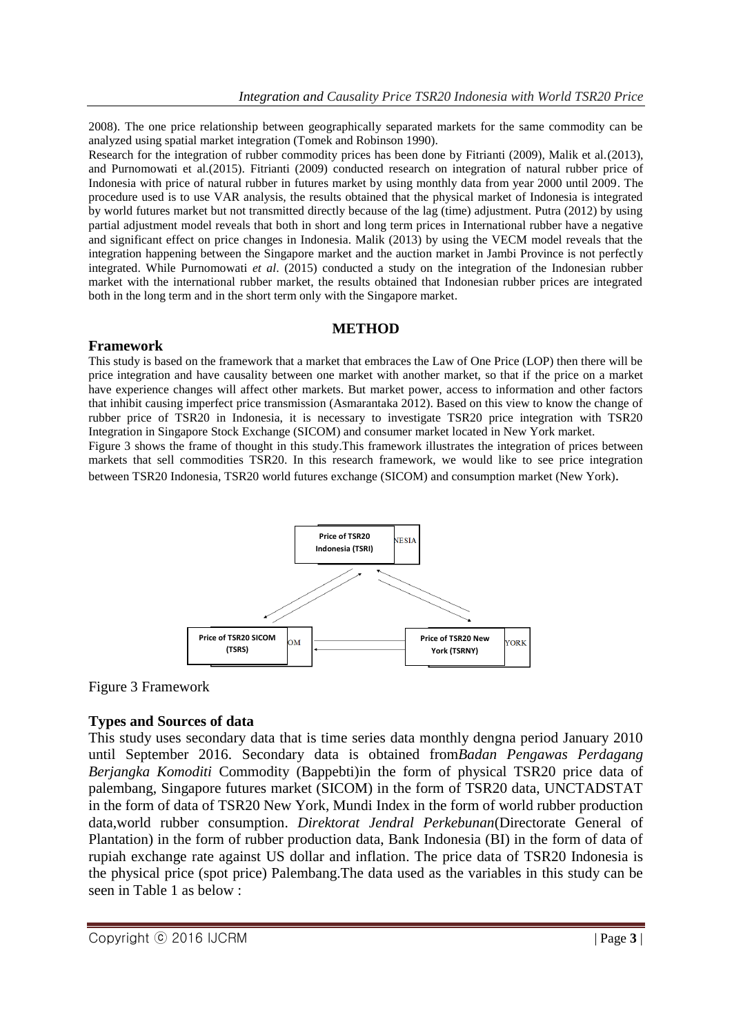2008). The one price relationship between geographically separated markets for the same commodity can be analyzed using spatial market integration (Tomek and Robinson 1990).

Research for the integration of rubber commodity prices has been done by Fitrianti (2009), Malik et al.(2013), and Purnomowati et al.(2015). Fitrianti (2009) conducted research on integration of natural rubber price of Indonesia with price of natural rubber in futures market by using monthly data from year 2000 until 2009. The procedure used is to use VAR analysis, the results obtained that the physical market of Indonesia is integrated by world futures market but not transmitted directly because of the lag (time) adjustment. Putra (2012) by using partial adjustment model reveals that both in short and long term prices in International rubber have a negative and significant effect on price changes in Indonesia. Malik (2013) by using the VECM model reveals that the integration happening between the Singapore market and the auction market in Jambi Province is not perfectly integrated. While Purnomowati *et al*. (2015) conducted a study on the integration of the Indonesian rubber market with the international rubber market, the results obtained that Indonesian rubber prices are integrated both in the long term and in the short term only with the Singapore market.

## **METHOD**

## **Framework**

This study is based on the framework that a market that embraces the Law of One Price (LOP) then there will be price integration and have causality between one market with another market, so that if the price on a market have experience changes will affect other markets. But market power, access to information and other factors that inhibit causing imperfect price transmission (Asmarantaka 2012). Based on this view to know the change of rubber price of TSR20 in Indonesia, it is necessary to investigate TSR20 price integration with TSR20 Integration in Singapore Stock Exchange (SICOM) and consumer market located in New York market.

Figure 3 shows the frame of thought in this study.This framework illustrates the integration of prices between markets that sell commodities TSR20. In this research framework, we would like to see price integration between TSR20 Indonesia, TSR20 world futures exchange (SICOM) and consumption market (New York).



## Figure 3 Framework

## **Types and Sources of data**

This study uses secondary data that is time series data monthly dengna period January 2010 until September 2016. Secondary data is obtained from*Badan Pengawas Perdagang Berjangka Komoditi* Commodity (Bappebti)in the form of physical TSR20 price data of palembang, Singapore futures market (SICOM) in the form of TSR20 data, UNCTADSTAT in the form of data of TSR20 New York, Mundi Index in the form of world rubber production data,world rubber consumption. *Direktorat Jendral Perkebunan*(Directorate General of Plantation) in the form of rubber production data, Bank Indonesia (BI) in the form of data of rupiah exchange rate against US dollar and inflation. The price data of TSR20 Indonesia is the physical price (spot price) Palembang.The data used as the variables in this study can be seen in Table 1 as below :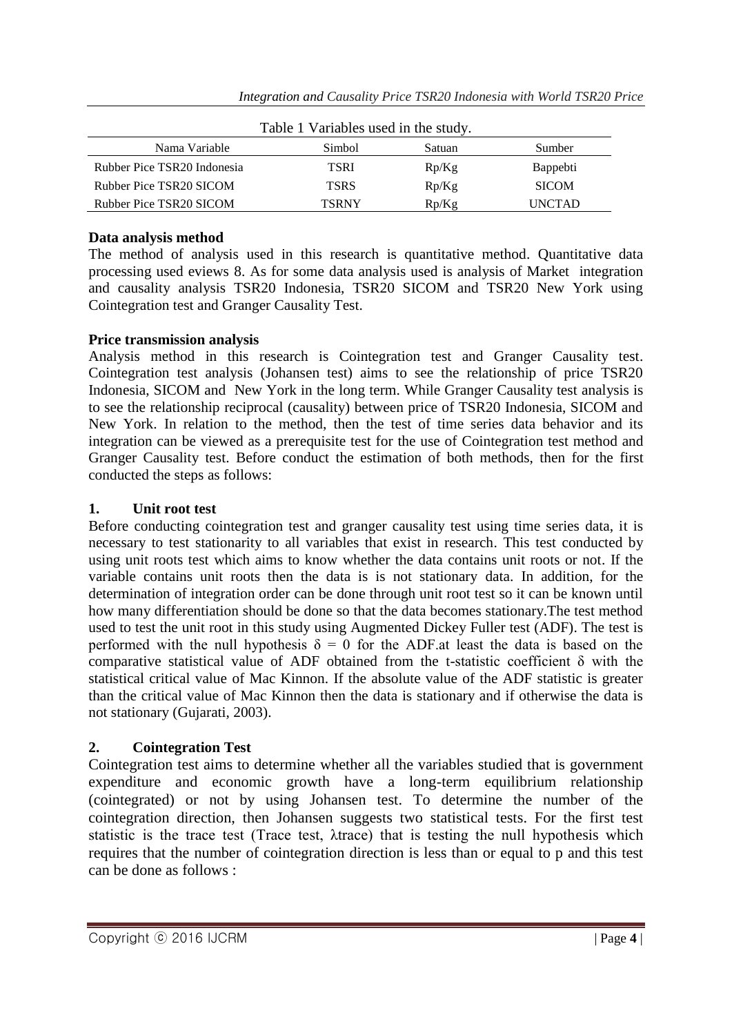| Table 1 Variables used in the study. |              |        |                 |  |
|--------------------------------------|--------------|--------|-----------------|--|
| Nama Variable                        | Simbol       | Satuan | Sumber          |  |
| Rubber Pice TSR20 Indonesia          | TSRI         | Rp/Kg  | <b>Bappebti</b> |  |
| Rubber Pice TSR20 SICOM              | <b>TSRS</b>  | Rp/Kg  | <b>SICOM</b>    |  |
| Rubber Pice TSR20 SICOM              | <b>TSRNY</b> | Rp/Kg  | <b>UNCTAD</b>   |  |

## **Data analysis method**

The method of analysis used in this research is quantitative method. Quantitative data processing used eviews 8. As for some data analysis used is analysis of Market integration and causality analysis TSR20 Indonesia, TSR20 SICOM and TSR20 New York using Cointegration test and Granger Causality Test.

## **Price transmission analysis**

Analysis method in this research is Cointegration test and Granger Causality test. Cointegration test analysis (Johansen test) aims to see the relationship of price TSR20 Indonesia, SICOM and New York in the long term. While Granger Causality test analysis is to see the relationship reciprocal (causality) between price of TSR20 Indonesia, SICOM and New York. In relation to the method, then the test of time series data behavior and its integration can be viewed as a prerequisite test for the use of Cointegration test method and Granger Causality test. Before conduct the estimation of both methods, then for the first conducted the steps as follows:

## **1. Unit root test**

Before conducting cointegration test and granger causality test using time series data, it is necessary to test stationarity to all variables that exist in research. This test conducted by using unit roots test which aims to know whether the data contains unit roots or not. If the variable contains unit roots then the data is is not stationary data. In addition, for the determination of integration order can be done through unit root test so it can be known until how many differentiation should be done so that the data becomes stationary.The test method used to test the unit root in this study using Augmented Dickey Fuller test (ADF). The test is performed with the null hypothesis  $\delta = 0$  for the ADF at least the data is based on the comparative statistical value of ADF obtained from the t-statistic coefficient  $\delta$  with the statistical critical value of Mac Kinnon. If the absolute value of the ADF statistic is greater than the critical value of Mac Kinnon then the data is stationary and if otherwise the data is not stationary (Gujarati, 2003).

## **2. Cointegration Test**

Cointegration test aims to determine whether all the variables studied that is government expenditure and economic growth have a long-term equilibrium relationship (cointegrated) or not by using Johansen test. To determine the number of the cointegration direction, then Johansen suggests two statistical tests. For the first test statistic is the trace test (Trace test, λtrace) that is testing the null hypothesis which requires that the number of cointegration direction is less than or equal to p and this test can be done as follows :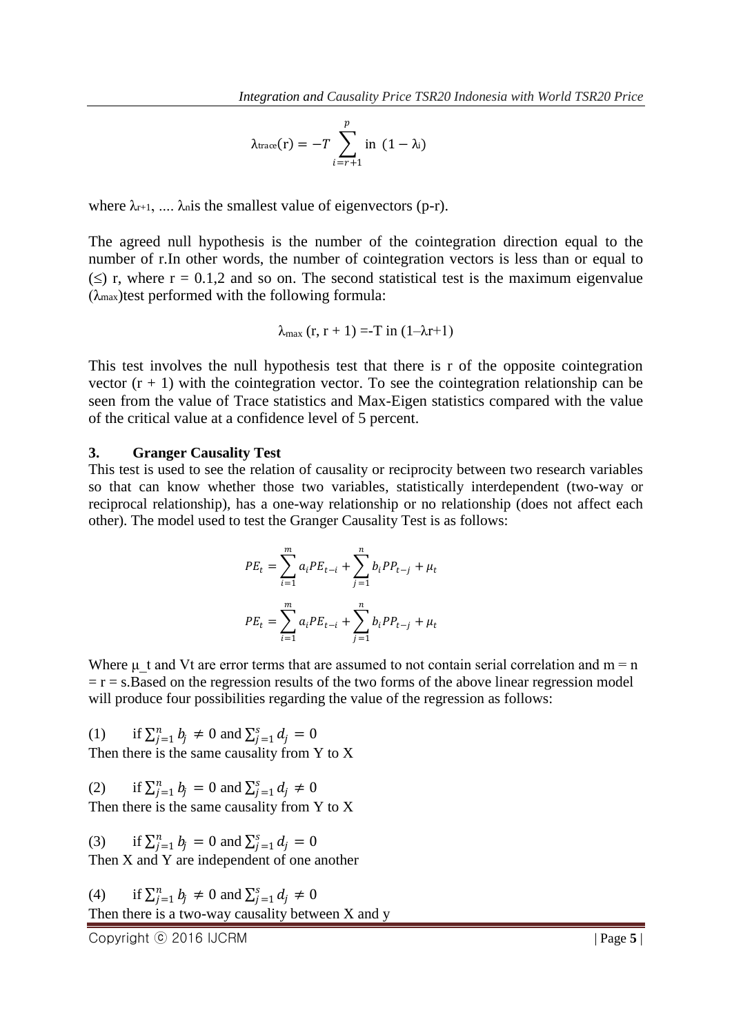$$
\lambda_{\text{trace}}(r) = -T \sum_{i=r+1}^{p} \text{in} \ (1 - \lambda_i)
$$

where  $\lambda_{r+1}$ , ....  $\lambda_{n}$  is the smallest value of eigenvectors (p-r).

The agreed null hypothesis is the number of the cointegration direction equal to the number of r.In other words, the number of cointegration vectors is less than or equal to  $(\leq)$  r, where r = 0.1,2 and so on. The second statistical test is the maximum eigenvalue  $(\lambda_{\text{max}})$  test performed with the following formula:

$$
\lambda_{\max}(r, r+1) = -T \text{ in } (1-\lambda r+1)
$$

This test involves the null hypothesis test that there is r of the opposite cointegration vector  $(r + 1)$  with the cointegration vector. To see the cointegration relationship can be seen from the value of Trace statistics and Max-Eigen statistics compared with the value of the critical value at a confidence level of 5 percent.

#### **3. Granger Causality Test**

This test is used to see the relation of causality or reciprocity between two research variables so that can know whether those two variables, statistically interdependent (two-way or reciprocal relationship), has a one-way relationship or no relationship (does not affect each other). The model used to test the Granger Causality Test is as follows:

$$
PE_{t} = \sum_{i=1}^{m} a_{i}PE_{t-i} + \sum_{j=1}^{n} b_{i}PP_{t-j} + \mu_{t}
$$

$$
PE_{t} = \sum_{i=1}^{m} a_{i}PE_{t-i} + \sum_{j=1}^{n} b_{i}PP_{t-j} + \mu_{t}
$$

Where  $\mu$  t and Vt are error terms that are assumed to not contain serial correlation and m = n  $r = r = s$ . Based on the regression results of the two forms of the above linear regression model will produce four possibilities regarding the value of the regression as follows:

(1) if  $\sum_{j=1}^{n} b_j \neq 0$  and  $\sum_{j=1}^{s} d_j = 0$ Then there is the same causality from Y to X

(2) if  $\sum_{j=1}^{n} b_j = 0$  and  $\sum_{j=1}^{s} d_j \neq 0$ Then there is the same causality from Y to X

(3) if  $\sum_{j=1}^{n} b_j = 0$  and  $\sum_{j=1}^{s} d_j = 0$ Then X and Y are independent of one another

(4) if 
$$
\sum_{j=1}^{n} b_j \neq 0
$$
 and  $\sum_{j=1}^{s} d_j \neq 0$   
Then there is a two-way causality between X and y

Copyright ⓒ 2016 IJCRM | Page **5** |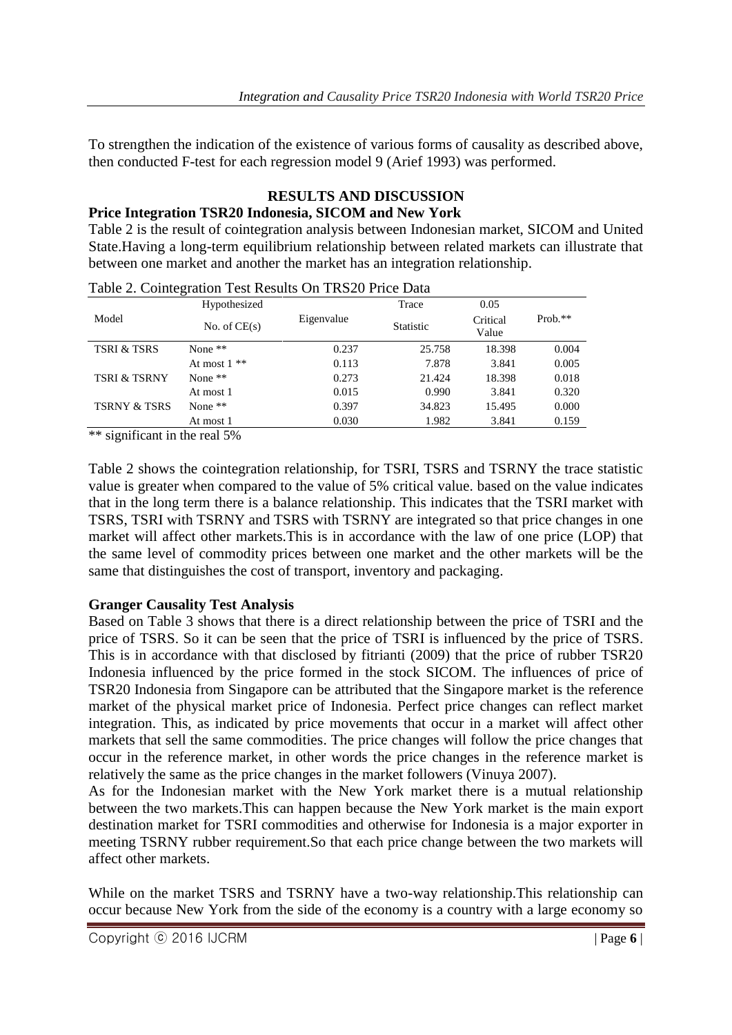To strengthen the indication of the existence of various forms of causality as described above, then conducted F-test for each regression model 9 (Arief 1993) was performed.

# **RESULTS AND DISCUSSION**

## **Price Integration TSR20 Indonesia, SICOM and New York**

Table 2 is the result of cointegration analysis between Indonesian market, SICOM and United State.Having a long-term equilibrium relationship between related markets can illustrate that between one market and another the market has an integration relationship.

| Table 2. Cointegration Test Results On TRS20 Price Data |                |            |                  |                   |           |
|---------------------------------------------------------|----------------|------------|------------------|-------------------|-----------|
|                                                         | Hypothesized   |            | Trace            | 0.05              |           |
| Model                                                   | No. of $CE(s)$ | Eigenvalue | <b>Statistic</b> | Critical<br>Value | $Prob.**$ |
| <b>TSRI &amp; TSRS</b>                                  | None $**$      | 0.237      | 25.758           | 18.398            | 0.004     |
|                                                         | At most $1**$  | 0.113      | 7.878            | 3.841             | 0.005     |
| <b>TSRI &amp; TSRNY</b>                                 | None $**$      | 0.273      | 21.424           | 18.398            | 0.018     |
|                                                         | At most 1      | 0.015      | 0.990            | 3.841             | 0.320     |
| <b>TSRNY &amp; TSRS</b>                                 | None $**$      | 0.397      | 34.823           | 15.495            | 0.000     |
|                                                         | At most 1      | 0.030      | 1.982            | 3.841             | 0.159     |

| Table 2. Cointegration Test Results On TRS20 Price Data |  |  |
|---------------------------------------------------------|--|--|
|                                                         |  |  |

\*\* significant in the real 5%

Table 2 shows the cointegration relationship, for TSRI, TSRS and TSRNY the trace statistic value is greater when compared to the value of 5% critical value. based on the value indicates that in the long term there is a balance relationship. This indicates that the TSRI market with TSRS, TSRI with TSRNY and TSRS with TSRNY are integrated so that price changes in one market will affect other markets.This is in accordance with the law of one price (LOP) that the same level of commodity prices between one market and the other markets will be the same that distinguishes the cost of transport, inventory and packaging.

## **Granger Causality Test Analysis**

Based on Table 3 shows that there is a direct relationship between the price of TSRI and the price of TSRS. So it can be seen that the price of TSRI is influenced by the price of TSRS. This is in accordance with that disclosed by fitrianti (2009) that the price of rubber TSR20 Indonesia influenced by the price formed in the stock SICOM. The influences of price of TSR20 Indonesia from Singapore can be attributed that the Singapore market is the reference market of the physical market price of Indonesia. Perfect price changes can reflect market integration. This, as indicated by price movements that occur in a market will affect other markets that sell the same commodities. The price changes will follow the price changes that occur in the reference market, in other words the price changes in the reference market is relatively the same as the price changes in the market followers (Vinuya 2007).

As for the Indonesian market with the New York market there is a mutual relationship between the two markets.This can happen because the New York market is the main export destination market for TSRI commodities and otherwise for Indonesia is a major exporter in meeting TSRNY rubber requirement.So that each price change between the two markets will affect other markets.

While on the market TSRS and TSRNY have a two-way relationship.This relationship can occur because New York from the side of the economy is a country with a large economy so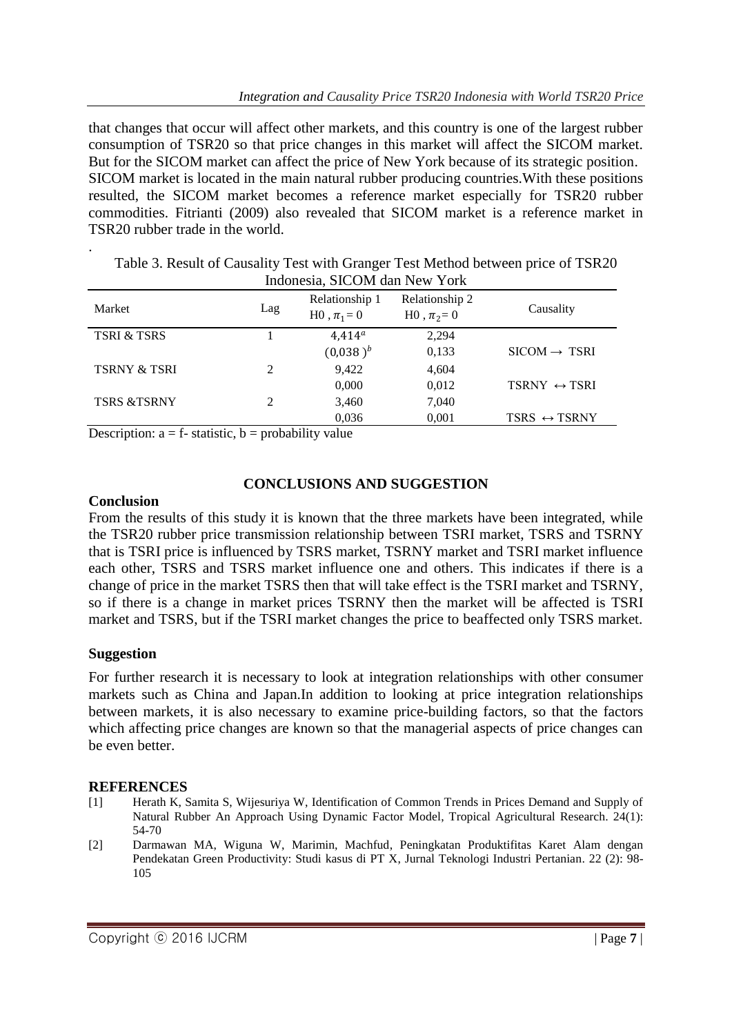that changes that occur will affect other markets, and this country is one of the largest rubber consumption of TSR20 so that price changes in this market will affect the SICOM market. But for the SICOM market can affect the price of New York because of its strategic position. SICOM market is located in the main natural rubber producing countries.With these positions resulted, the SICOM market becomes a reference market especially for TSR20 rubber commodities. Fitrianti (2009) also revealed that SICOM market is a reference market in TSR20 rubber trade in the world.

| muonesia, BICONI uan Tww Toin |     |                                      |                                    |                              |
|-------------------------------|-----|--------------------------------------|------------------------------------|------------------------------|
| Market                        | Lag | Relationship 1<br>$H0$ , $\pi_1 = 0$ | Relationship 2<br>$H0$ , $\pi_2=0$ | Causality                    |
| <b>TSRI &amp; TSRS</b>        |     | $4.414^a$                            | 2,294                              |                              |
|                               |     | $(0,038)^{b}$                        | 0,133                              | $SICOM \rightarrow TSRI$     |
| <b>TSRNY &amp; TSRI</b>       | 2   | 9,422                                | 4,604                              |                              |
|                               |     | 0,000                                | 0,012                              | TSRNY $\leftrightarrow$ TSRI |
| <b>TSRS &amp;TSRNY</b>        |     | 3,460                                | 7,040                              |                              |
|                               |     | 0,036                                | 0,001                              | TSRS $\leftrightarrow$ TSRNY |

Table 3. Result of Causality Test with Granger Test Method between price of TSR20 Indonesia, SICOM dan New York

Description:  $a = f$ - statistic,  $b =$  probability value

## **CONCLUSIONS AND SUGGESTION**

#### **Conclusion**

.

From the results of this study it is known that the three markets have been integrated, while the TSR20 rubber price transmission relationship between TSRI market, TSRS and TSRNY that is TSRI price is influenced by TSRS market, TSRNY market and TSRI market influence each other, TSRS and TSRS market influence one and others. This indicates if there is a change of price in the market TSRS then that will take effect is the TSRI market and TSRNY, so if there is a change in market prices TSRNY then the market will be affected is TSRI market and TSRS, but if the TSRI market changes the price to beaffected only TSRS market.

## **Suggestion**

For further research it is necessary to look at integration relationships with other consumer markets such as China and Japan.In addition to looking at price integration relationships between markets, it is also necessary to examine price-building factors, so that the factors which affecting price changes are known so that the managerial aspects of price changes can be even better.

## **REFERENCES**

- [1] Herath K, Samita S, Wijesuriya W, Identification of Common Trends in Prices Demand and Supply of Natural Rubber An Approach Using Dynamic Factor Model, Tropical Agricultural Research. 24(1): 54-70
- [2] Darmawan MA, Wiguna W, Marimin, Machfud, Peningkatan Produktifitas Karet Alam dengan Pendekatan Green Productivity: Studi kasus di PT X, Jurnal Teknologi Industri Pertanian. 22 (2): 98- 105